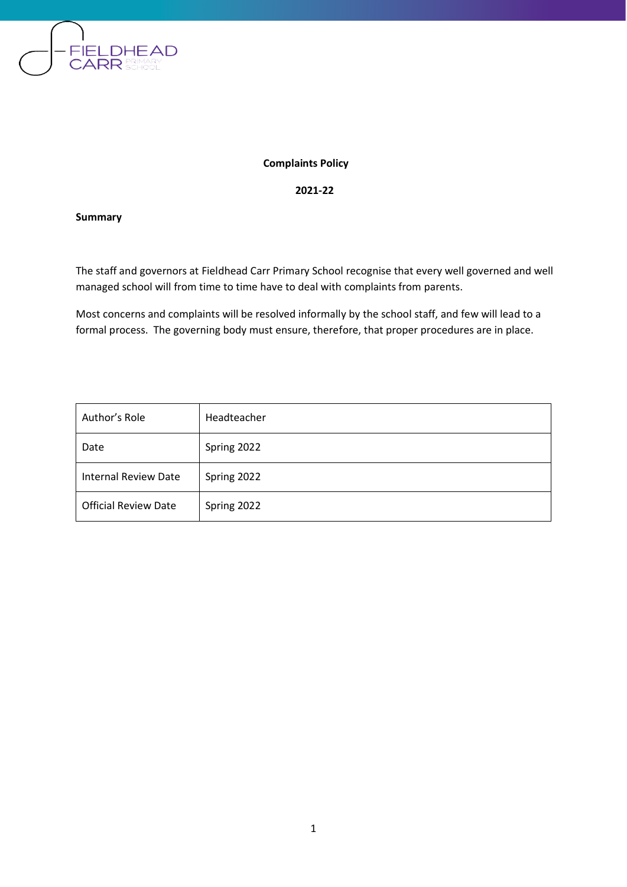

**Complaints Policy**

**2021-22**

**Summary**

The staff and governors at Fieldhead Carr Primary School recognise that every well governed and well managed school will from time to time have to deal with complaints from parents.

Most concerns and complaints will be resolved informally by the school staff, and few will lead to a formal process. The governing body must ensure, therefore, that proper procedures are in place.

| Author's Role               | Headteacher |
|-----------------------------|-------------|
| Date                        | Spring 2022 |
| <b>Internal Review Date</b> | Spring 2022 |
| <b>Official Review Date</b> | Spring 2022 |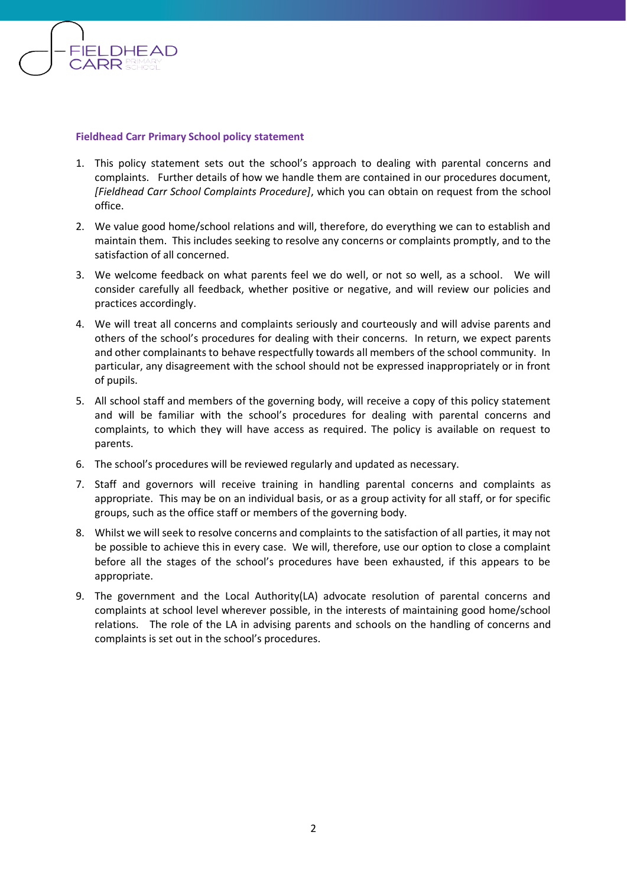

### **Fieldhead Carr Primary School policy statement**

- 1. This policy statement sets out the school's approach to dealing with parental concerns and complaints. Further details of how we handle them are contained in our procedures document, *[Fieldhead Carr School Complaints Procedure]*, which you can obtain on request from the school office.
- 2. We value good home/school relations and will, therefore, do everything we can to establish and maintain them. This includes seeking to resolve any concerns or complaints promptly, and to the satisfaction of all concerned.
- 3. We welcome feedback on what parents feel we do well, or not so well, as a school. We will consider carefully all feedback, whether positive or negative, and will review our policies and practices accordingly.
- 4. We will treat all concerns and complaints seriously and courteously and will advise parents and others of the school's procedures for dealing with their concerns. In return, we expect parents and other complainants to behave respectfully towards all members of the school community. In particular, any disagreement with the school should not be expressed inappropriately or in front of pupils.
- 5. All school staff and members of the governing body, will receive a copy of this policy statement and will be familiar with the school's procedures for dealing with parental concerns and complaints, to which they will have access as required. The policy is available on request to parents.
- 6. The school's procedures will be reviewed regularly and updated as necessary.
- 7. Staff and governors will receive training in handling parental concerns and complaints as appropriate. This may be on an individual basis, or as a group activity for all staff, or for specific groups, such as the office staff or members of the governing body.
- 8. Whilst we will seek to resolve concerns and complaints to the satisfaction of all parties, it may not be possible to achieve this in every case. We will, therefore, use our option to close a complaint before all the stages of the school's procedures have been exhausted, if this appears to be appropriate.
- 9. The government and the Local Authority(LA) advocate resolution of parental concerns and complaints at school level wherever possible, in the interests of maintaining good home/school relations. The role of the LA in advising parents and schools on the handling of concerns and complaints is set out in the school's procedures.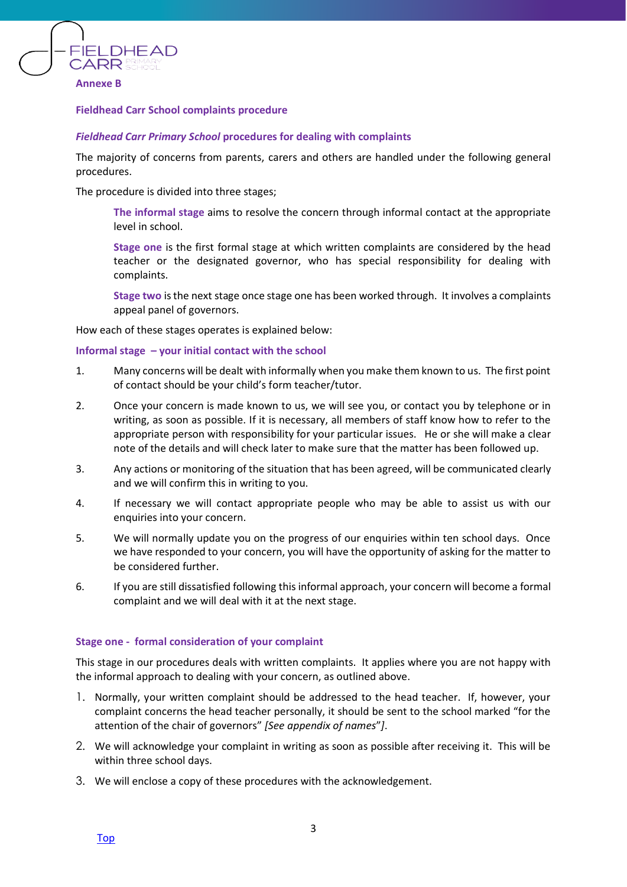

### **Fieldhead Carr School complaints procedure**

#### *Fieldhead Carr Primary School* **procedures for dealing with complaints**

The majority of concerns from parents, carers and others are handled under the following general procedures.

The procedure is divided into three stages;

**The informal stage** aims to resolve the concern through informal contact at the appropriate level in school.

**Stage one** is the first formal stage at which written complaints are considered by the head teacher or the designated governor, who has special responsibility for dealing with complaints.

**Stage two** is the next stage once stage one has been worked through. It involves a complaints appeal panel of governors.

How each of these stages operates is explained below:

#### **Informal stage – your initial contact with the school**

- 1. Many concerns will be dealt with informally when you make them known to us. The first point of contact should be your child's form teacher/tutor.
- 2. Once your concern is made known to us, we will see you, or contact you by telephone or in writing, as soon as possible. If it is necessary, all members of staff know how to refer to the appropriate person with responsibility for your particular issues. He or she will make a clear note of the details and will check later to make sure that the matter has been followed up.
- 3. Any actions or monitoring of the situation that has been agreed, will be communicated clearly and we will confirm this in writing to you.
- 4. If necessary we will contact appropriate people who may be able to assist us with our enquiries into your concern.
- 5. We will normally update you on the progress of our enquiries within ten school days. Once we have responded to your concern, you will have the opportunity of asking for the matter to be considered further.
- 6. If you are still dissatisfied following this informal approach, your concern will become a formal complaint and we will deal with it at the next stage.

#### **Stage one - formal consideration of your complaint**

This stage in our procedures deals with written complaints. It applies where you are not happy with the informal approach to dealing with your concern, as outlined above.

- 1. Normally, your written complaint should be addressed to the head teacher. If, however, your complaint concerns the head teacher personally, it should be sent to the school marked "for the attention of the chair of governors" *[See appendix of names*"*]*.
- 2. We will acknowledge your complaint in writing as soon as possible after receiving it. This will be within three school days.
- 3. We will enclose a copy of these procedures with the acknowledgement.

[Top](file:///T:/Policies/x%20Old%20formats/Pupil%20Support%20Policies/AGENDA%20ITEM%2011%20School%20Complaints%20Toolkit%20Sept%202015.doc%23top)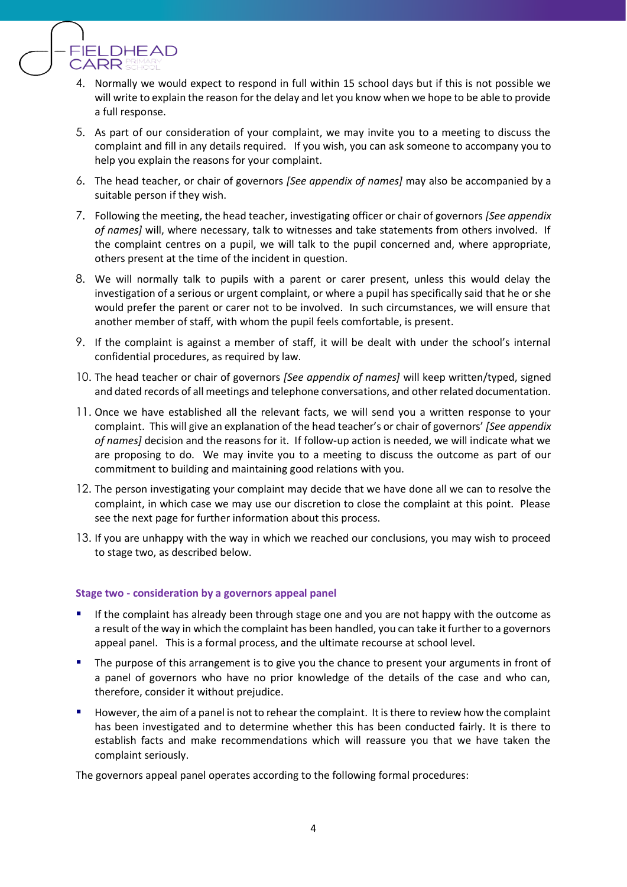

- 4. Normally we would expect to respond in full within 15 school days but if this is not possible we will write to explain the reason for the delay and let you know when we hope to be able to provide a full response.
- 5. As part of our consideration of your complaint, we may invite you to a meeting to discuss the complaint and fill in any details required. If you wish, you can ask someone to accompany you to help you explain the reasons for your complaint.
- 6. The head teacher, or chair of governors *[See appendix of names]* may also be accompanied by a suitable person if they wish.
- 7. Following the meeting, the head teacher, investigating officer or chair of governors *[See appendix of names]* will, where necessary, talk to witnesses and take statements from others involved. If the complaint centres on a pupil, we will talk to the pupil concerned and, where appropriate, others present at the time of the incident in question.
- 8. We will normally talk to pupils with a parent or carer present, unless this would delay the investigation of a serious or urgent complaint, or where a pupil has specifically said that he or she would prefer the parent or carer not to be involved. In such circumstances, we will ensure that another member of staff, with whom the pupil feels comfortable, is present.
- 9. If the complaint is against a member of staff, it will be dealt with under the school's internal confidential procedures, as required by law.
- 10. The head teacher or chair of governors *[See appendix of names]* will keep written/typed, signed and dated records of all meetings and telephone conversations, and other related documentation.
- 11. Once we have established all the relevant facts, we will send you a written response to your complaint. This will give an explanation of the head teacher's or chair of governors' *[See appendix of names]* decision and the reasons for it. If follow-up action is needed, we will indicate what we are proposing to do. We may invite you to a meeting to discuss the outcome as part of our commitment to building and maintaining good relations with you.
- 12. The person investigating your complaint may decide that we have done all we can to resolve the complaint, in which case we may use our discretion to close the complaint at this point. Please see the next page for further information about this process.
- 13. If you are unhappy with the way in which we reached our conclusions, you may wish to proceed to stage two, as described below.

### **Stage two - consideration by a governors appeal panel**

- If the complaint has already been through stage one and you are not happy with the outcome as a result of the way in which the complaint has been handled, you can take it further to a governors appeal panel. This is a formal process, and the ultimate recourse at school level.
- The purpose of this arrangement is to give you the chance to present your arguments in front of a panel of governors who have no prior knowledge of the details of the case and who can, therefore, consider it without prejudice.
- However, the aim of a panel is not to rehear the complaint. It is there to review how the complaint has been investigated and to determine whether this has been conducted fairly. It is there to establish facts and make recommendations which will reassure you that we have taken the complaint seriously.

The governors appeal panel operates according to the following formal procedures: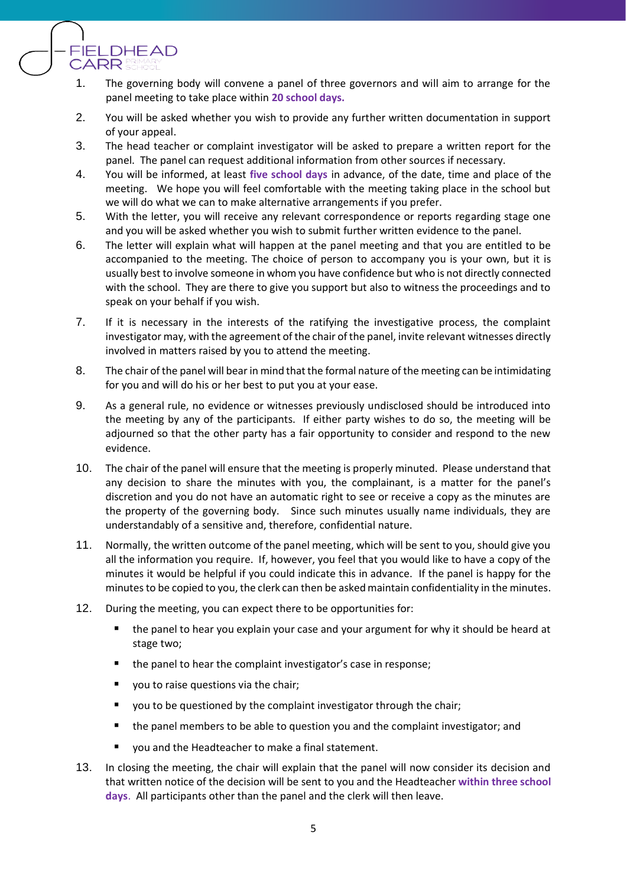

**FIELDHEAD** 

**CARR** 

- 2. You will be asked whether you wish to provide any further written documentation in support of your appeal.
- 3. The head teacher or complaint investigator will be asked to prepare a written report for the panel. The panel can request additional information from other sources if necessary.
- 4. You will be informed, at least **five school days** in advance, of the date, time and place of the meeting. We hope you will feel comfortable with the meeting taking place in the school but we will do what we can to make alternative arrangements if you prefer.
- 5. With the letter, you will receive any relevant correspondence or reports regarding stage one and you will be asked whether you wish to submit further written evidence to the panel.
- 6. The letter will explain what will happen at the panel meeting and that you are entitled to be accompanied to the meeting. The choice of person to accompany you is your own, but it is usually best to involve someone in whom you have confidence but who is not directly connected with the school. They are there to give you support but also to witness the proceedings and to speak on your behalf if you wish.
- 7. If it is necessary in the interests of the ratifying the investigative process, the complaint investigator may, with the agreement of the chair of the panel, invite relevant witnesses directly involved in matters raised by you to attend the meeting.
- 8. The chair of the panel will bear in mind that the formal nature of the meeting can be intimidating for you and will do his or her best to put you at your ease.
- 9. As a general rule, no evidence or witnesses previously undisclosed should be introduced into the meeting by any of the participants. If either party wishes to do so, the meeting will be adjourned so that the other party has a fair opportunity to consider and respond to the new evidence.
- 10. The chair of the panel will ensure that the meeting is properly minuted. Please understand that any decision to share the minutes with you, the complainant, is a matter for the panel's discretion and you do not have an automatic right to see or receive a copy as the minutes are the property of the governing body. Since such minutes usually name individuals, they are understandably of a sensitive and, therefore, confidential nature.
- 11. Normally, the written outcome of the panel meeting, which will be sent to you, should give you all the information you require. If, however, you feel that you would like to have a copy of the minutes it would be helpful if you could indicate this in advance. If the panel is happy for the minutes to be copied to you, the clerk can then be asked maintain confidentiality in the minutes.
- 12. During the meeting, you can expect there to be opportunities for:
	- the panel to hear you explain your case and your argument for why it should be heard at stage two;
	- the panel to hear the complaint investigator's case in response;
	- you to raise questions via the chair;
	- you to be questioned by the complaint investigator through the chair;
	- the panel members to be able to question you and the complaint investigator; and
	- you and the Headteacher to make a final statement.
- 13. In closing the meeting, the chair will explain that the panel will now consider its decision and that written notice of the decision will be sent to you and the Headteacher **within three school days**. All participants other than the panel and the clerk will then leave.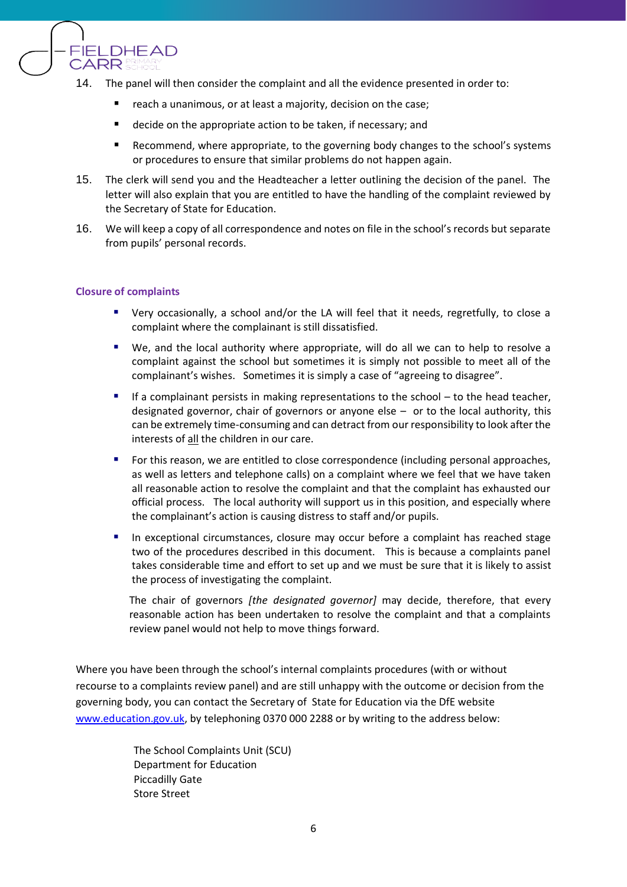

- 14. The panel will then consider the complaint and all the evidence presented in order to:
	- reach a unanimous, or at least a majority, decision on the case;
	- decide on the appropriate action to be taken, if necessary; and
	- Recommend, where appropriate, to the governing body changes to the school's systems or procedures to ensure that similar problems do not happen again.
- 15. The clerk will send you and the Headteacher a letter outlining the decision of the panel. The letter will also explain that you are entitled to have the handling of the complaint reviewed by the Secretary of State for Education.
- 16. We will keep a copy of all correspondence and notes on file in the school's records but separate from pupils' personal records.

### **Closure of complaints**

- Very occasionally, a school and/or the LA will feel that it needs, regretfully, to close a complaint where the complainant is still dissatisfied.
- We, and the local authority where appropriate, will do all we can to help to resolve a complaint against the school but sometimes it is simply not possible to meet all of the complainant's wishes. Sometimes it is simply a case of "agreeing to disagree".
- If a complainant persists in making representations to the school to the head teacher, designated governor, chair of governors or anyone else – or to the local authority, this can be extremely time-consuming and can detract from our responsibility to look after the interests of all the children in our care.
- For this reason, we are entitled to close correspondence (including personal approaches, as well as letters and telephone calls) on a complaint where we feel that we have taken all reasonable action to resolve the complaint and that the complaint has exhausted our official process. The local authority will support us in this position, and especially where the complainant's action is causing distress to staff and/or pupils.
- In exceptional circumstances, closure may occur before a complaint has reached stage two of the procedures described in this document. This is because a complaints panel takes considerable time and effort to set up and we must be sure that it is likely to assist the process of investigating the complaint.

The chair of governors *[the designated governor]* may decide, therefore, that every reasonable action has been undertaken to resolve the complaint and that a complaints review panel would not help to move things forward.

Where you have been through the school's internal complaints procedures (with or without recourse to a complaints review panel) and are still unhappy with the outcome or decision from the governing body, you can contact the Secretary of State for Education via the DfE website [www.education.gov.uk,](http://www.education.gov.uk/) by telephoning 0370 000 2288 or by writing to the address below:

> The School Complaints Unit (SCU) Department for Education Piccadilly Gate Store Street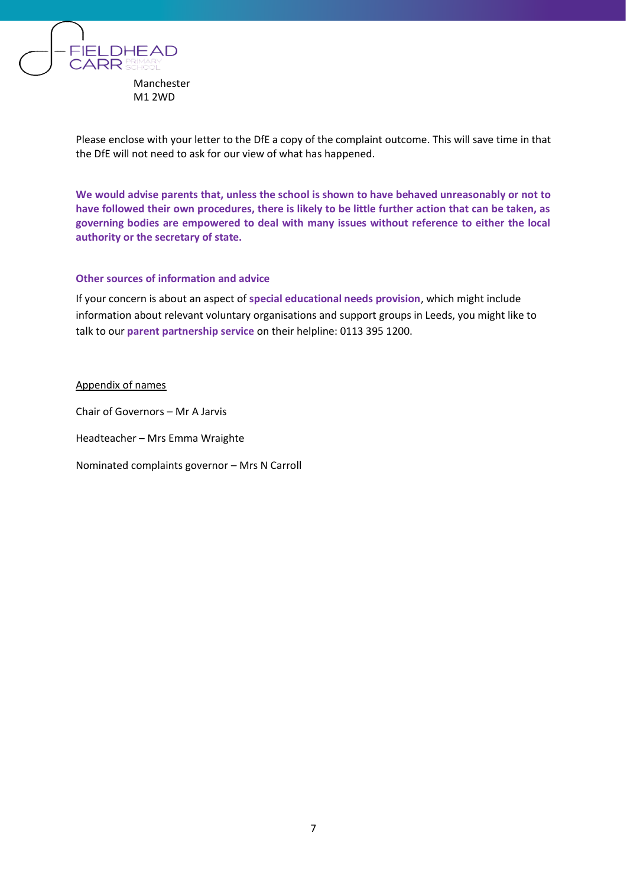

Please enclose with your letter to the DfE a copy of the complaint outcome. This will save time in that the DfE will not need to ask for our view of what has happened.

**We would advise parents that, unless the school is shown to have behaved unreasonably or not to have followed their own procedures, there is likely to be little further action that can be taken, as governing bodies are empowered to deal with many issues without reference to either the local authority or the secretary of state.**

### **Other sources of information and advice**

If your concern is about an aspect of **special educational needs provision**, which might include information about relevant voluntary organisations and support groups in Leeds, you might like to talk to our **parent partnership service** on their helpline: 0113 395 1200.

#### Appendix of names

Chair of Governors – Mr A Jarvis

Headteacher – Mrs Emma Wraighte

Nominated complaints governor – Mrs N Carroll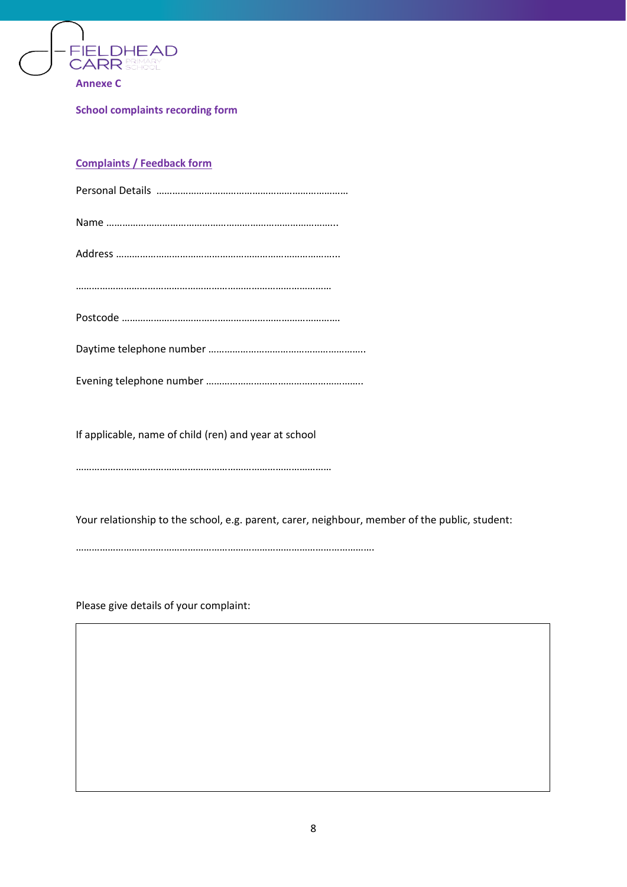

**School complaints recording form**

# **Complaints / Feedback form**

If applicable, name of child (ren) and year at school

……………………………………………………………………………………

Your relationship to the school, e.g. parent, carer, neighbour, member of the public, student:

………………………………………………………………………………………………….

Please give details of your complaint:

when and when and when we

What action, if any, have you already taken to try any, the try and resolve  $\mathcal{W}$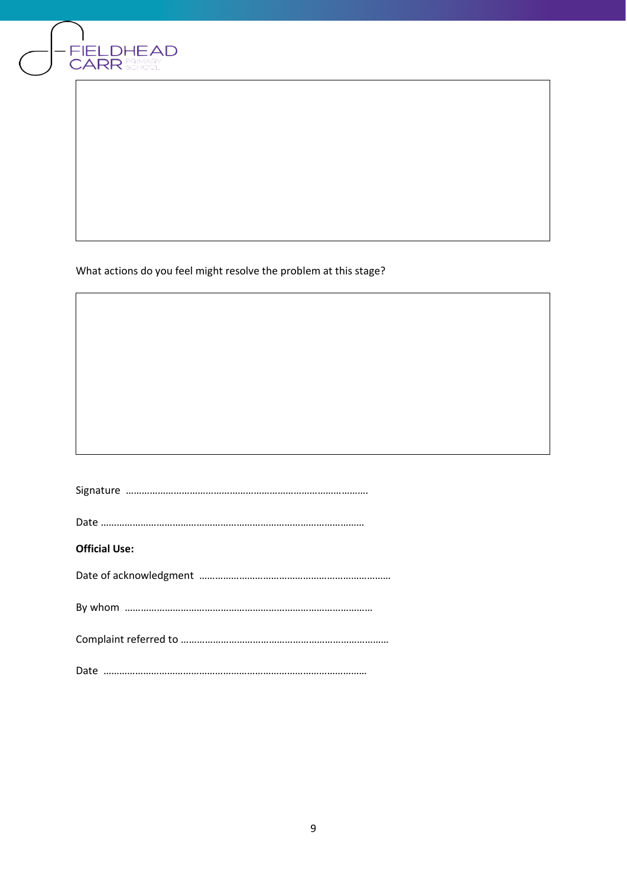

What actions do you feel might resolve the problem at this stage?

| <b>Official Use:</b> |
|----------------------|
|                      |
|                      |
|                      |
|                      |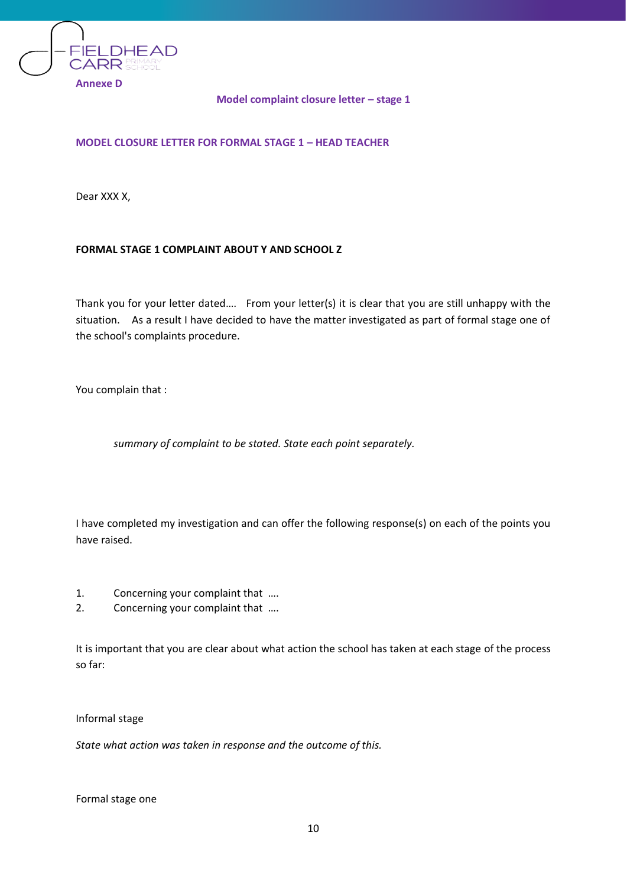

## **Model complaint closure letter – stage 1**

# **MODEL CLOSURE LETTER FOR FORMAL STAGE 1 – HEAD TEACHER**

Dear XXX X,

# **FORMAL STAGE 1 COMPLAINT ABOUT Y AND SCHOOL Z**

Thank you for your letter dated…. From your letter(s) it is clear that you are still unhappy with the situation. As a result I have decided to have the matter investigated as part of formal stage one of the school's complaints procedure.

You complain that :

*summary of complaint to be stated. State each point separately.* 

I have completed my investigation and can offer the following response(s) on each of the points you have raised.

- 1. Concerning your complaint that ….
- 2. Concerning your complaint that ....

It is important that you are clear about what action the school has taken at each stage of the process so far:

Informal stage

*State what action was taken in response and the outcome of this.* 

Formal stage one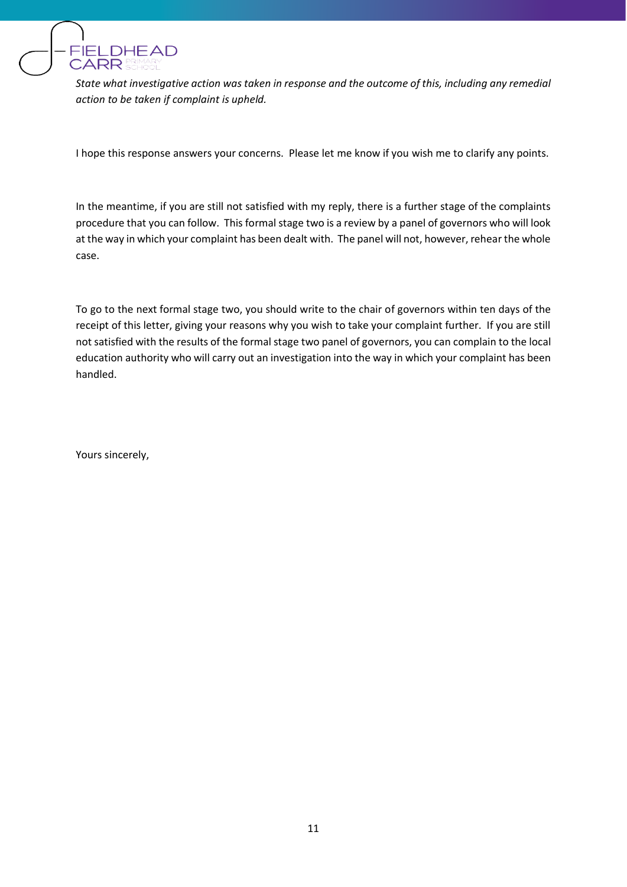

*State what investigative action was taken in response and the outcome of this, including any remedial action to be taken if complaint is upheld.*

I hope this response answers your concerns. Please let me know if you wish me to clarify any points.

In the meantime, if you are still not satisfied with my reply, there is a further stage of the complaints procedure that you can follow. This formal stage two is a review by a panel of governors who will look at the way in which your complaint has been dealt with. The panel will not, however, rehear the whole case.

To go to the next formal stage two, you should write to the chair of governors within ten days of the receipt of this letter, giving your reasons why you wish to take your complaint further. If you are still not satisfied with the results of the formal stage two panel of governors, you can complain to the local education authority who will carry out an investigation into the way in which your complaint has been handled.

Yours sincerely,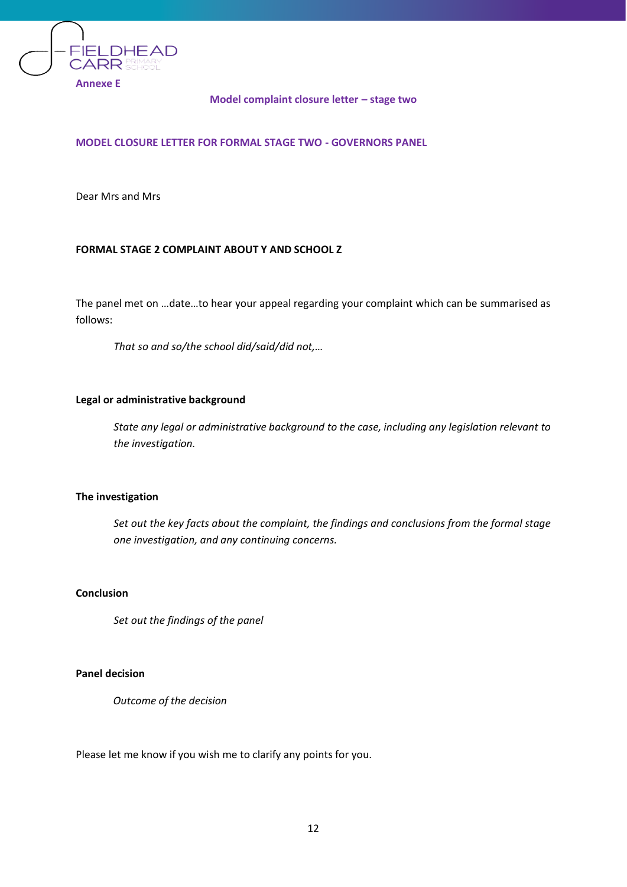

### **Model complaint closure letter – stage two**

## **MODEL CLOSURE LETTER FOR FORMAL STAGE TWO - GOVERNORS PANEL**

Dear Mrs and Mrs

# **FORMAL STAGE 2 COMPLAINT ABOUT Y AND SCHOOL Z**

The panel met on …date…to hear your appeal regarding your complaint which can be summarised as follows:

*That so and so/the school did/said/did not,…* 

### **Legal or administrative background**

*State any legal or administrative background to the case, including any legislation relevant to the investigation.*

#### **The investigation**

*Set out the key facts about the complaint, the findings and conclusions from the formal stage one investigation, and any continuing concerns.*

# **Conclusion**

*Set out the findings of the panel*

### **Panel decision**

*Outcome of the decision*

Please let me know if you wish me to clarify any points for you.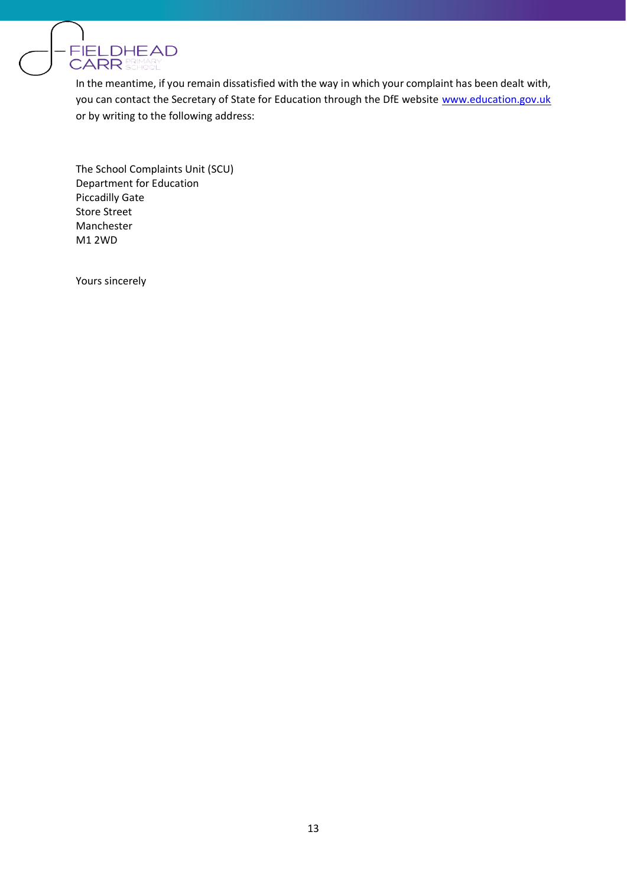

In the meantime, if you remain dissatisfied with the way in which your complaint has been dealt with, you can contact the Secretary of State for Education through the DfE website [www.education.gov.uk](http://www.education.gov.uk/) or by writing to the following address:

The School Complaints Unit (SCU) Department for Education Piccadilly Gate Store Street Manchester M1 2WD

Yours sincerely